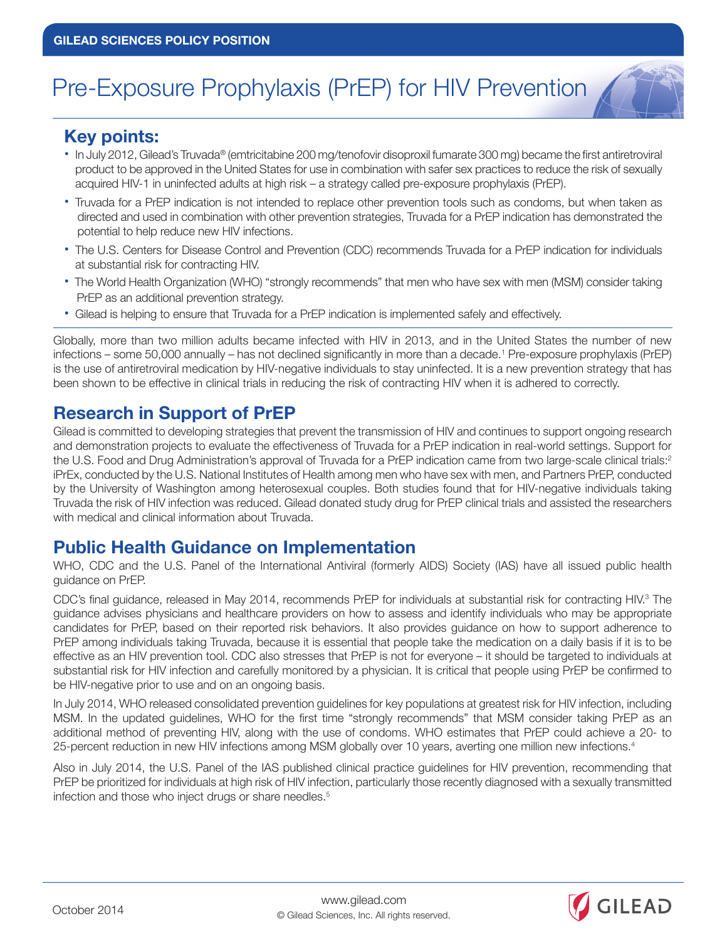# Pre-Exposure Prophylaxis (PrEP) for HIV Prevention

#### **Key points:**

- **•** In July 2012, Gilead's Truvada® (emtricitabine 200 mg/tenofovir disoproxil fumarate 300 mg) became the first antiretroviral product to be approved in the United States for use in combination with safer sex practices to reduce the risk of sexually acquired HIV-1 in uninfected adults at high risk – a strategy called pre-exposure prophylaxis (PrEP).
- **•** Truvada for a PrEP indication is not intended to replace other prevention tools such as condoms, but when taken as directed and used in combination with other prevention strategies, Truvada for a PrEP indication has demonstrated the potential to help reduce new HIV infections.
- **•** The U.S. Centers for Disease Control and Prevention (CDC) recommends Truvada for a PrEP indication for individuals at substantial risk for contracting HIV.
- **•** The World Health Organization (WHO) "strongly recommends" that men who have sex with men (MSM) consider taking PrEP as an additional prevention strategy.
- **•** Gilead is helping to ensure that Truvada for a PrEP indication is implemented safely and effectively.

Globally, more than two million adults became infected with HIV in 2013, and in the United States the number of new infections – some 50,000 annually – has not declined significantly in more than a decade.1 Pre-exposure prophylaxis (PrEP) is the use of antiretroviral medication by HIV-negative individuals to stay uninfected. It is a new prevention strategy that has been shown to be effective in clinical trials in reducing the risk of contracting HIV when it is adhered to correctly.

## **Research in Support of PrEP**

Gilead is committed to developing strategies that prevent the transmission of HIV and continues to support ongoing research and demonstration projects to evaluate the effectiveness of Truvada for a PrEP indication in real-world settings. Support for the U.S. Food and Drug Administration's approval of Truvada for a PrEP indication came from two large-scale clinical trials:<sup>2</sup> iPrEx, conducted by the U.S. National Institutes of Health among men who have sex with men, and Partners PrEP, conducted by the University of Washington among heterosexual couples. Both studies found that for HIV-negative individuals taking Truvada the risk of HIV infection was reduced. Gilead donated study drug for PrEP clinical trials and assisted the researchers with medical and clinical information about Truvada.

#### **Public Health Guidance on Implementation**

WHO, CDC and the U.S. Panel of the International Antiviral (formerly AIDS) Society (IAS) have all issued public health guidance on PrEP.

CDC's final guidance, released in May 2014, recommends PrEP for individuals at substantial risk for contracting HIV.<sup>3</sup> The guidance advises physicians and healthcare providers on how to assess and identify individuals who may be appropriate candidates for PrEP, based on their reported risk behaviors. It also provides guidance on how to support adherence to PrEP among individuals taking Truvada, because it is essential that people take the medication on a daily basis if it is to be effective as an HIV prevention tool. CDC also stresses that PrEP is not for everyone – it should be targeted to individuals at substantial risk for HIV infection and carefully monitored by a physician. It is critical that people using PrEP be confirmed to be HIV-negative prior to use and on an ongoing basis.

In July 2014, WHO released consolidated prevention guidelines for key populations at greatest risk for HIV infection, including MSM. In the updated guidelines, WHO for the first time "strongly recommends" that MSM consider taking PrEP as an additional method of preventing HIV, along with the use of condoms. WHO estimates that PrEP could achieve a 20- to 25-percent reduction in new HIV infections among MSM globally over 10 years, averting one million new infections.4

Also in July 2014, the U.S. Panel of the IAS published clinical practice guidelines for HIV prevention, recommending that PrEP be prioritized for individuals at high risk of HIV infection, particularly those recently diagnosed with a sexually transmitted infection and those who inject drugs or share needles.<sup>5</sup>